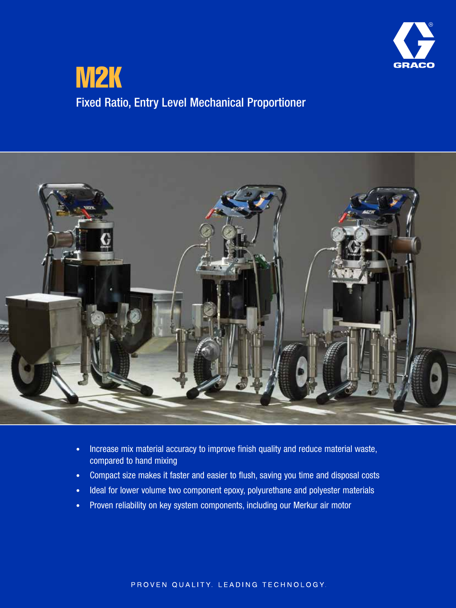

## M2K Fixed Ratio, Entry Level Mechanical Proportioner



- Increase mix material accuracy to improve finish quality and reduce material waste, compared to hand mixing
- Compact size makes it faster and easier to flush, saving you time and disposal costs
- Ideal for lower volume two component epoxy, polyurethane and polyester materials
- Proven reliability on key system components, including our Merkur air motor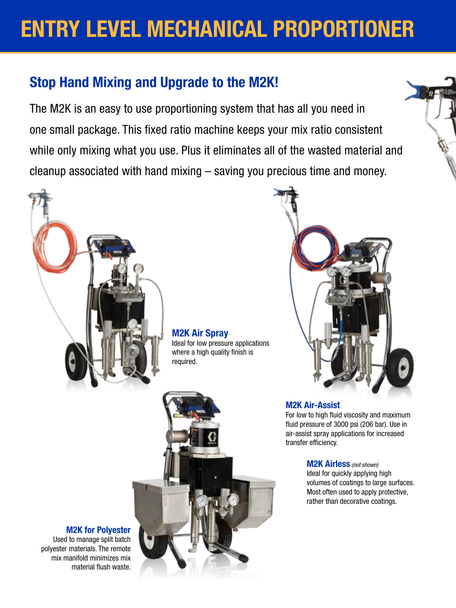# ENTRY LEVEL MECHANICAL PROPORTIONER

## Stop Hand Mixing and Upgrade to the M2K!

The M2K is an easy to use proportioning system that has all you need in one small package. This fixed ratio machine keeps your mix ratio consistent while only mixing what you use. Plus it eliminates all of the wasted material and cleanup associated with hand mixing – saving you precious time and money.



M2K Air Spray

Ideal for low pressure applications where a high quality finish is required.





#### M2K Air-Assist

For low to high fluid viscosity and maximum fluid pressure of 3000 psi (206 bar). Use in air-assist spray applications for increased transfer efficiency.

> M2K Airless *(not shown)* Ideal for quickly applying high volumes of coatings to large surfaces. Most often used to apply protective, rather than decorative coatings.

#### M2K for Polyester

Used to manage split batch polyester materials. The remote mix manifold minimizes mix material flush waste.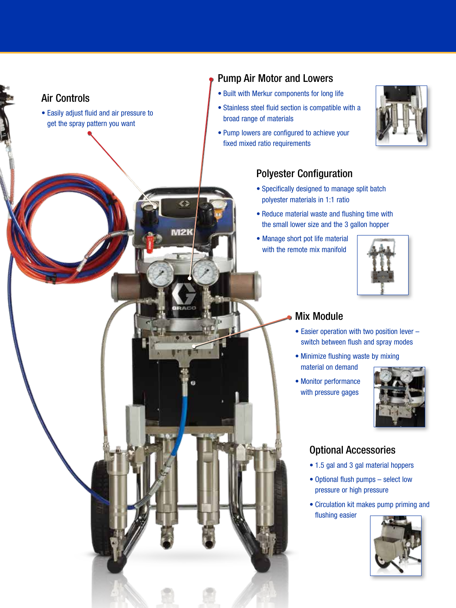## Air Controls

• Easily adjust fluid and air pressure to get the spray pattern you want

**VI21** 

#### Pump Air Motor and Lowers

- Built with Merkur components for long life
- Stainless steel fluid section is compatible with a broad range of materials
- Pump lowers are configured to achieve your fixed mixed ratio requirements



#### Polyester Configuration

- Specifically designed to manage split batch polyester materials in 1:1 ratio
- Reduce material waste and flushing time with the small lower size and the 3 gallon hopper
- Manage short pot life material with the remote mix manifold



#### Mix Module

- Easier operation with two position lever switch between flush and spray modes
- Minimize flushing waste by mixing material on demand
- Monitor performance with pressure gages



### Optional Accessories

- 1.5 gal and 3 gal material hoppers
- Optional flush pumps select low pressure or high pressure
- Circulation kit makes pump priming and flushing easier